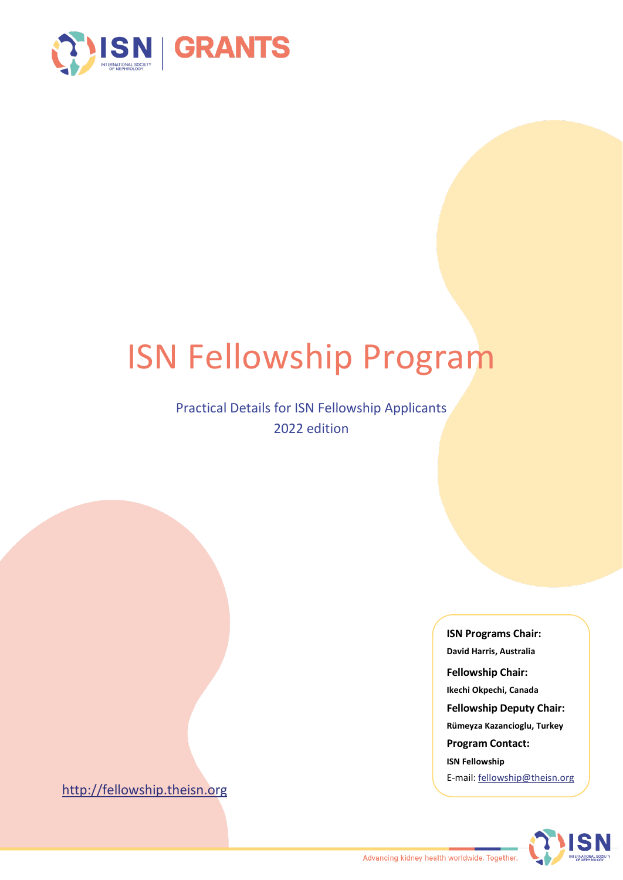

# ISN Fellowship Program

### Practical Details for ISN Fellowship Applicants 2022 edition

[http://fellowship.theisn.org](http://fellowship.theisn.org/)

**ISN Programs Chair: David Harris, Australia Fellowship Chair: Ikechi Okpechi, Canada Fellowship Deputy Chair: Rümeyza Kazancioglu, Turkey Program Contact: ISN Fellowship** E-mail: [fellowship@theisn.org](mailto:fellowship@theisn.org)

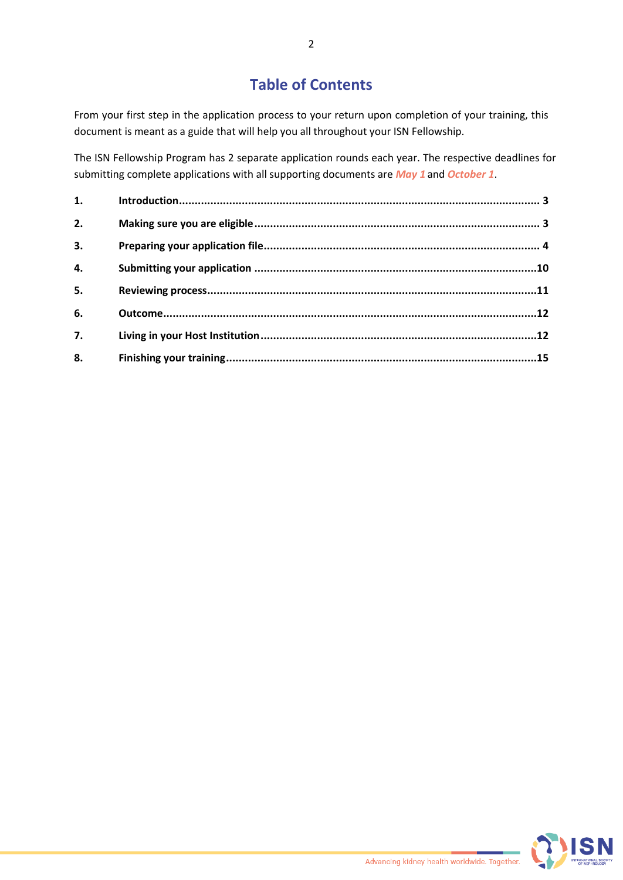# **Table of Contents**

From your first step in the application process to your return upon completion of your training, this document is meant as a guide that will help you all throughout your ISN Fellowship.

The ISN Fellowship Program has 2 separate application rounds each year. The respective deadlines for submitting complete applications with all supporting documents are *May 1* and *October 1*.

| 1.               |  |
|------------------|--|
| 2.               |  |
| 3.               |  |
| 4.               |  |
| 5.               |  |
| 6.               |  |
| $\overline{7}$ . |  |
| 8.               |  |

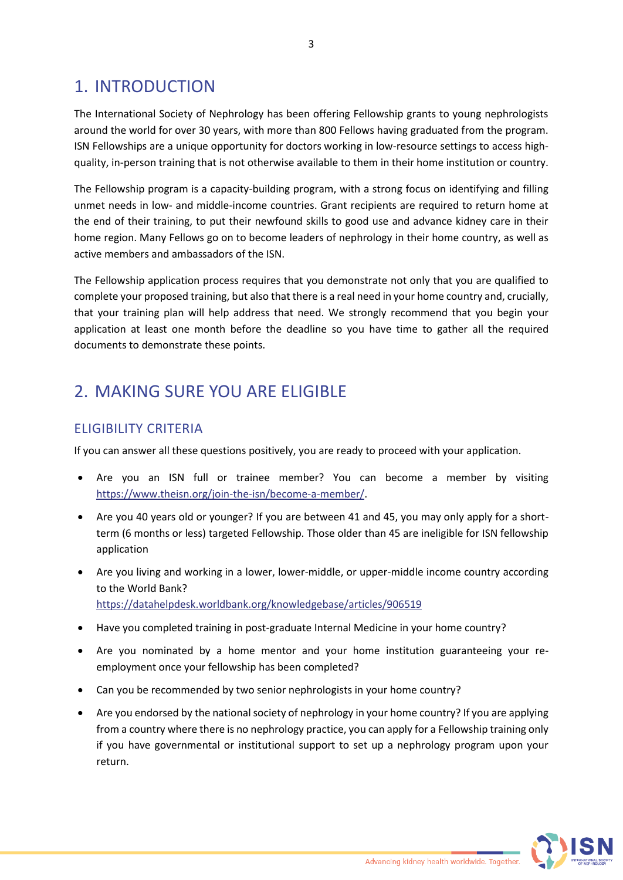# <span id="page-2-0"></span>1. INTRODUCTION

The International Society of Nephrology has been offering Fellowship grants to young nephrologists around the world for over 30 years, with more than 800 Fellows having graduated from the program. ISN Fellowships are a unique opportunity for doctors working in low-resource settings to access highquality, in-person training that is not otherwise available to them in their home institution or country.

The Fellowship program is a capacity-building program, with a strong focus on identifying and filling unmet needs in low- and middle-income countries. Grant recipients are required to return home at the end of their training, to put their newfound skills to good use and advance kidney care in their home region. Many Fellows go on to become leaders of nephrology in their home country, as well as active members and ambassadors of the ISN.

The Fellowship application process requires that you demonstrate not only that you are qualified to complete your proposed training, but also that there is a real need in your home country and, crucially, that your training plan will help address that need. We strongly recommend that you begin your application at least one month before the deadline so you have time to gather all the required documents to demonstrate these points.

# <span id="page-2-1"></span>2. MAKING SURE YOU ARE ELIGIBLE

### ELIGIBILITY CRITERIA

If you can answer all these questions positively, you are ready to proceed with your application.

- Are you an ISN full or trainee member? You can become a member by visiting [https://www.theisn.org/join-the-isn/become-a-member/.](https://www.theisn.org/join-the-isn/become-a-member/)
- Are you 40 years old or younger? If you are between 41 and 45, you may only apply for a shortterm (6 months or less) targeted Fellowship. Those older than 45 are ineligible for ISN fellowship application
- Are you living and working in a lower, lower-middle, or upper-middle income country according to the World Bank? <https://datahelpdesk.worldbank.org/knowledgebase/articles/906519>
- Have you completed training in post-graduate Internal Medicine in your home country?
- Are you nominated by a home mentor and your home institution guaranteeing your reemployment once your fellowship has been completed?
- Can you be recommended by two senior nephrologists in your home country?
- Are you endorsed by the national society of nephrology in your home country? If you are applying from a country where there is no nephrology practice, you can apply for a Fellowship training only if you have governmental or institutional support to set up a nephrology program upon your return.

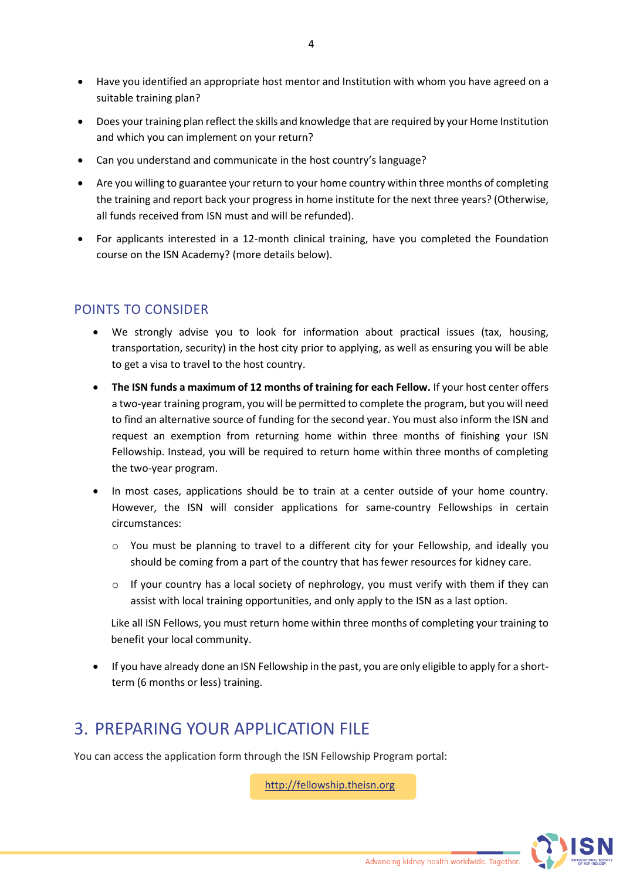- Have you identified an appropriate host mentor and Institution with whom you have agreed on a suitable training plan?
- Does your training plan reflect the skills and knowledge that are required by your Home Institution and which you can implement on your return?
- Can you understand and communicate in the host country's language?
- Are you willing to guarantee your return to your home country within three months of completing the training and report back your progress in home institute for the next three years? (Otherwise, all funds received from ISN must and will be refunded).
- For applicants interested in a 12-month clinical training, have you completed the Foundation course on the ISN Academy? (more details below).

### POINTS TO CONSIDER

- We strongly advise you to look for information about practical issues (tax, housing, transportation, security) in the host city prior to applying, as well as ensuring you will be able to get a visa to travel to the host country.
- **The ISN funds a maximum of 12 months of training for each Fellow.** If your host center offers a two-year training program, you will be permitted to complete the program, but you will need to find an alternative source of funding for the second year. You must also inform the ISN and request an exemption from returning home within three months of finishing your ISN Fellowship. Instead, you will be required to return home within three months of completing the two-year program.
- In most cases, applications should be to train at a center outside of your home country. However, the ISN will consider applications for same-country Fellowships in certain circumstances:
	- o You must be planning to travel to a different city for your Fellowship, and ideally you should be coming from a part of the country that has fewer resources for kidney care.
	- $\circ$  If your country has a local society of nephrology, you must verify with them if they can assist with local training opportunities, and only apply to the ISN as a last option.

Like all ISN Fellows, you must return home within three months of completing your training to benefit your local community.

• If you have already done an ISN Fellowship in the past, you are only eligible to apply for a shortterm (6 months or less) training.

# <span id="page-3-0"></span>3. PREPARING YOUR APPLICATION FILE

You can access the application form through the ISN Fellowship Program portal:

[http://fellowship.theisn.org](http://fellowship.theisn.org/)

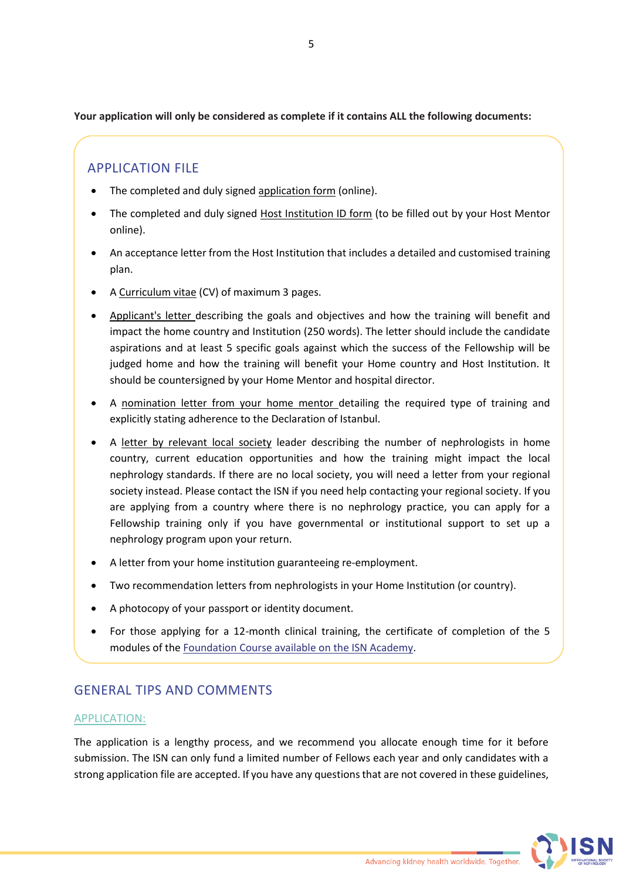**Your application will only be considered as complete if it contains ALL the following documents:** 

### APPLICATION FILE

- The completed and duly signed application form (online).
- The completed and duly signed Host Institution ID form (to be filled out by your Host Mentor online).
- An acceptance letter from the Host Institution that includes a detailed and customised training plan.
- A Curriculum vitae (CV) of maximum 3 pages.
- Applicant's letter describing the goals and objectives and how the training will benefit and impact the home country and Institution (250 words). The letter should include the candidate aspirations and at least 5 specific goals against which the success of the Fellowship will be judged home and how the training will benefit your Home country and Host Institution. It should be countersigned by your Home Mentor and hospital director.
- A nomination letter from your home mentor detailing the required type of training and explicitly stating adherence to the Declaration of Istanbul.
- A letter by relevant local society leader describing the number of nephrologists in home country, current education opportunities and how the training might impact the local nephrology standards. If there are no local society, you will need a letter from your regional society instead. Please contact the ISN if you need help contacting your regional society. If you are applying from a country where there is no nephrology practice, you can apply for a Fellowship training only if you have governmental or institutional support to set up a nephrology program upon your return.
- A letter from your home institution guaranteeing re-employment.
- Two recommendation letters from nephrologists in your Home Institution (or country).
- A photocopy of your passport or identity document.
- For those applying for a 12-month clinical training, the certificate of completion of the 5 modules of the Foundation Course [available on the ISN Academy.](https://academy.theisn.org/isn/#!*listing=3*browseby=8*sortby=2*media=40*c_id=318410)

### GENERAL TIPS AND COMMENTS

#### APPLICATION:

The application is a lengthy process, and we recommend you allocate enough time for it before submission. The ISN can only fund a limited number of Fellows each year and only candidates with a strong application file are accepted. If you have any questions that are not covered in these guidelines,

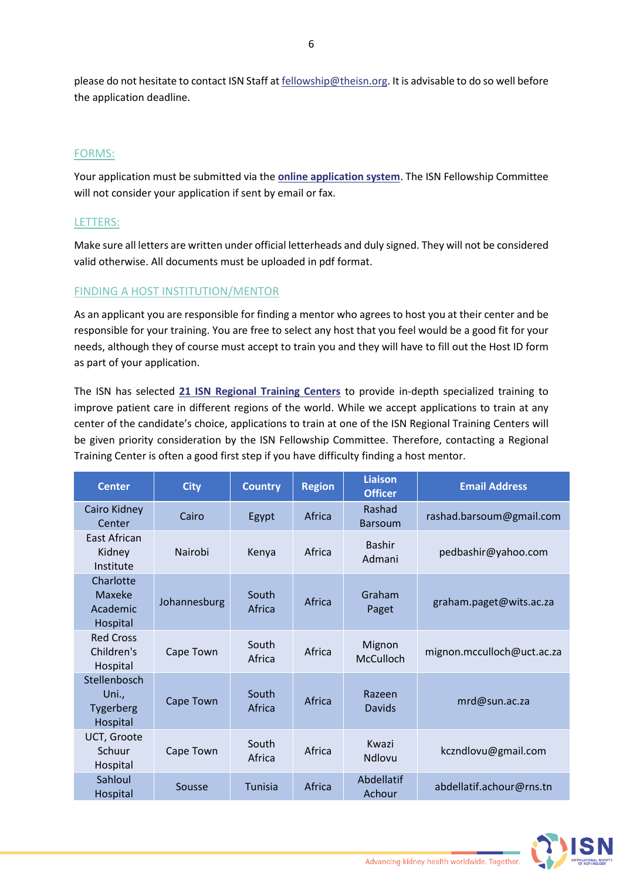please do not hesitate to contact ISN Staff a[t fellowship@theisn.org.](mailto:fellowship@theisn.org) It is advisable to do so well before the application deadline.

#### FORMS:

Your application must be submitted via the **[online application system](http://fellowship.theisn.org/)**. The ISN Fellowship Committee will not consider your application if sent by email or fax.

#### LETTERS:

Make sure all letters are written under official letterheads and duly signed. They will not be considered valid otherwise. All documents must be uploaded in pdf format.

#### FINDING A HOST INSTITUTION/MENTOR

As an applicant you are responsible for finding a mentor who agrees to host you at their center and be responsible for your training. You are free to select any host that you feel would be a good fit for your needs, although they of course must accept to train you and they will have to fill out the Host ID form as part of your application.

The ISN has selected **[21 ISN Regional Training Centers](https://www.theisn.org/wp-content/uploads/2021/03/ISN-RTC-2021-2026.pdf)** to provide in-depth specialized training to improve patient care in different regions of the world. While we accept applications to train at any center of the candidate's choice, applications to train at one of the ISN Regional Training Centers will be given priority consideration by the ISN Fellowship Committee. Therefore, contacting a Regional Training Center is often a good first step if you have difficulty finding a host mentor.

| <b>Center</b>                                  | <b>City</b>  | <b>Country</b>  | <b>Region</b> | Liaison<br><b>Officer</b>  | <b>Email Address</b>       |
|------------------------------------------------|--------------|-----------------|---------------|----------------------------|----------------------------|
| Cairo Kidney<br>Center                         | Cairo        | Egypt           | Africa        | Rashad<br><b>Barsoum</b>   | rashad.barsoum@gmail.com   |
| East African<br>Kidney<br>Institute            | Nairobi      | Kenya           | Africa        | <b>Bashir</b><br>Admani    | pedbashir@yahoo.com        |
| Charlotte<br>Maxeke<br>Academic<br>Hospital    | Johannesburg | South<br>Africa | Africa        | Graham<br>Paget            | graham.paget@wits.ac.za    |
| <b>Red Cross</b><br>Children's<br>Hospital     | Cape Town    | South<br>Africa | Africa        | Mignon<br><b>McCulloch</b> | mignon.mcculloch@uct.ac.za |
| Stellenbosch<br>Uni.,<br>Tygerberg<br>Hospital | Cape Town    | South<br>Africa | Africa        | Razeen<br><b>Davids</b>    | mrd@sun.ac.za              |
| UCT, Groote<br>Schuur<br>Hospital              | Cape Town    | South<br>Africa | Africa        | Kwazi<br><b>Ndlovu</b>     | kczndlovu@gmail.com        |
| Sahloul<br>Hospital                            | Sousse       | <b>Tunisia</b>  | Africa        | Abdellatif<br>Achour       | abdellatif.achour@rns.tn   |

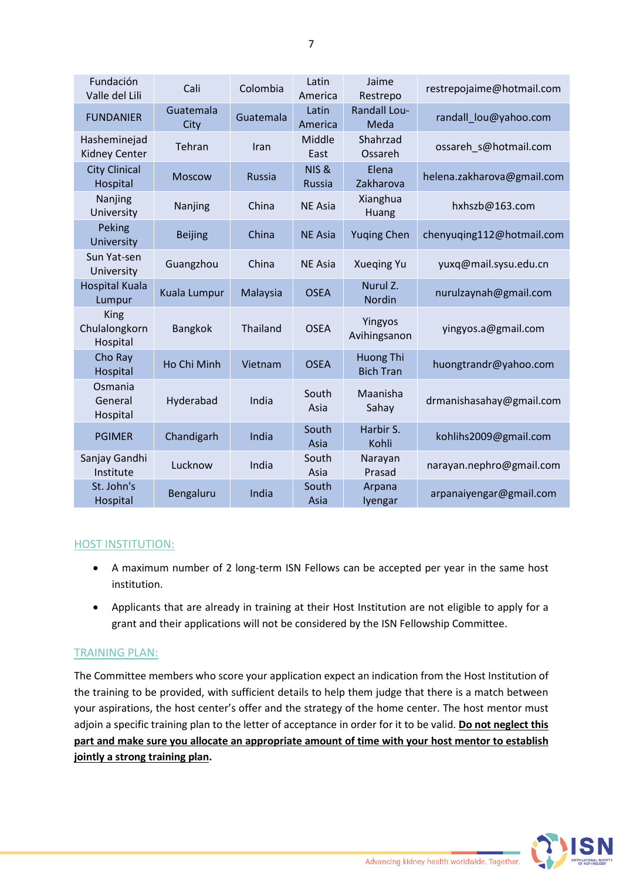| Fundación<br>Valle del Lili              | Cali              | Colombia      | Latin<br>America                  | Jaime<br>Restrepo             | restrepojaime@hotmail.com  |
|------------------------------------------|-------------------|---------------|-----------------------------------|-------------------------------|----------------------------|
| <b>FUNDANIER</b>                         | Guatemala<br>City | Guatemala     | Latin<br>America                  | <b>Randall Lou-</b><br>Meda   | randall lou@yahoo.com      |
| Hasheminejad<br><b>Kidney Center</b>     | Tehran            | Iran          | Middle<br>East                    | Shahrzad<br>Ossareh           | ossareh_s@hotmail.com      |
| <b>City Clinical</b><br>Hospital         | <b>Moscow</b>     | <b>Russia</b> | <b>NIS &amp;</b><br><b>Russia</b> | Elena<br>Zakharova            | helena.zakharova@gmail.com |
| Nanjing<br>University                    | Nanjing           | China         | <b>NE Asia</b>                    | Xianghua<br>Huang             | hxhszb@163.com             |
| Peking<br>University                     | <b>Beijing</b>    | China         | <b>NE Asia</b>                    | <b>Yuging Chen</b>            | chenyuqing112@hotmail.com  |
| Sun Yat-sen<br>University                | Guangzhou         | China         | <b>NE Asia</b>                    | <b>Xueging Yu</b>             | yuxq@mail.sysu.edu.cn      |
| <b>Hospital Kuala</b><br>Lumpur          | Kuala Lumpur      | Malaysia      | <b>OSEA</b>                       | Nurul Z.<br><b>Nordin</b>     | nurulzaynah@gmail.com      |
| <b>King</b><br>Chulalongkorn<br>Hospital | <b>Bangkok</b>    | Thailand      | <b>OSEA</b>                       | Yingyos<br>Avihingsanon       | yingyos.a@gmail.com        |
| Cho Ray<br>Hospital                      | Ho Chi Minh       | Vietnam       | <b>OSEA</b>                       | Huong Thi<br><b>Bich Tran</b> | huongtrandr@yahoo.com      |
| Osmania<br>General<br>Hospital           | Hyderabad         | India         | South<br>Asia                     | Maanisha<br>Sahay             | drmanishasahay@gmail.com   |
| <b>PGIMER</b>                            | Chandigarh        | India         | South<br>Asia                     | Harbir S.<br>Kohli            | kohlihs2009@gmail.com      |
| Sanjay Gandhi<br>Institute               | Lucknow           | India         | South<br>Asia                     | Narayan<br>Prasad             | narayan.nephro@gmail.com   |
| St. John's<br>Hospital                   | Bengaluru         | India         | South<br>Asia                     | Arpana<br>lyengar             | arpanaiyengar@gmail.com    |

#### HOST INSTITUTION:

- A maximum number of 2 long-term ISN Fellows can be accepted per year in the same host institution.
- Applicants that are already in training at their Host Institution are not eligible to apply for a grant and their applications will not be considered by the ISN Fellowship Committee.

#### TRAINING PLAN:

The Committee members who score your application expect an indication from the Host Institution of the training to be provided, with sufficient details to help them judge that there is a match between your aspirations, the host center's offer and the strategy of the home center. The host mentor must adjoin a specific training plan to the letter of acceptance in order for it to be valid. **Do not neglect this part and make sure you allocate an appropriate amount of time with your host mentor to establish jointly a strong training plan.**

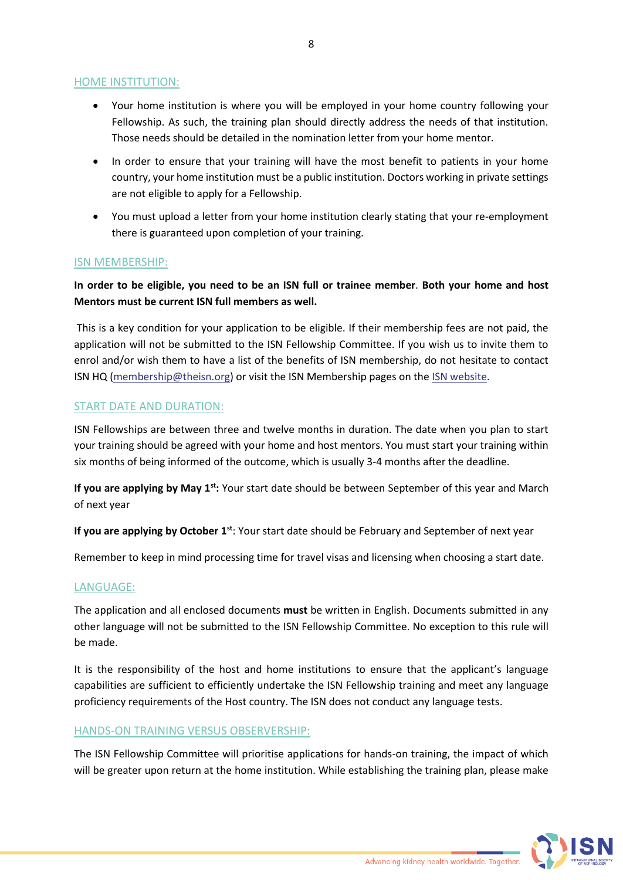#### HOME INSTITUTION:

- Your home institution is where you will be employed in your home country following your Fellowship. As such, the training plan should directly address the needs of that institution. Those needs should be detailed in the nomination letter from your home mentor.
- In order to ensure that your training will have the most benefit to patients in your home country, your home institution must be a public institution. Doctors working in private settings are not eligible to apply for a Fellowship.
- You must upload a letter from your home institution clearly stating that your re-employment there is guaranteed upon completion of your training.

#### ISN MEMBERSHIP:

#### **In order to be eligible, you need to be an ISN full or trainee member**. **Both your home and host Mentors must be current ISN full members as well.**

This is a key condition for your application to be eligible. If their membership fees are not paid, the application will not be submitted to the ISN Fellowship Committee. If you wish us to invite them to enrol and/or wish them to have a list of the benefits of ISN membership, do not hesitate to contact ISN HQ [\(membership@theisn.org\)](mailto:membership@theisn.org) or visit the ISN Membership pages on th[e ISN website.](https://www.theisn.org/join-the-isn/become-a-member/)

#### START DATE AND DURATION:

ISN Fellowships are between three and twelve months in duration. The date when you plan to start your training should be agreed with your home and host mentors. You must start your training within six months of being informed of the outcome, which is usually 3-4 months after the deadline.

**If you are applying by May 1st:** Your start date should be between September of this year and March of next year

**If you are applying by October 1st**: Your start date should be February and September of next year

Remember to keep in mind processing time for travel visas and licensing when choosing a start date.

#### LANGUAGE:

The application and all enclosed documents **must** be written in English. Documents submitted in any other language will not be submitted to the ISN Fellowship Committee. No exception to this rule will be made.

It is the responsibility of the host and home institutions to ensure that the applicant's language capabilities are sufficient to efficiently undertake the ISN Fellowship training and meet any language proficiency requirements of the Host country. The ISN does not conduct any language tests.

#### HANDS-ON TRAINING VERSUS OBSERVERSHIP:

The ISN Fellowship Committee will prioritise applications for hands-on training, the impact of which will be greater upon return at the home institution. While establishing the training plan, please make

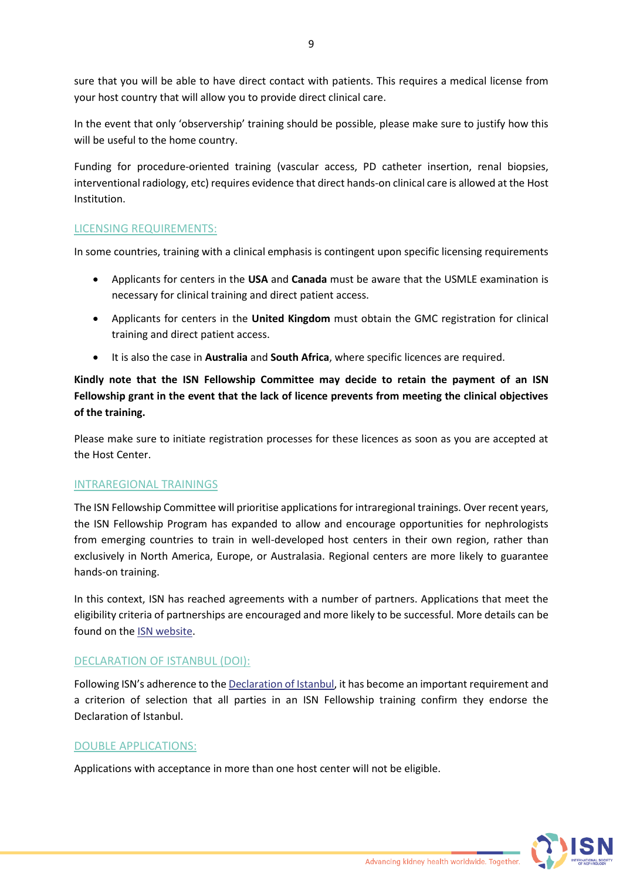sure that you will be able to have direct contact with patients. This requires a medical license from your host country that will allow you to provide direct clinical care.

In the event that only 'observership' training should be possible, please make sure to justify how this will be useful to the home country.

Funding for procedure-oriented training (vascular access, PD catheter insertion, renal biopsies, interventional radiology, etc) requires evidence that direct hands-on clinical care is allowed at the Host Institution.

#### LICENSING REQUIREMENTS:

In some countries, training with a clinical emphasis is contingent upon specific licensing requirements

- Applicants for centers in the **USA** and **Canada** must be aware that the USMLE examination is necessary for clinical training and direct patient access.
- Applicants for centers in the **United Kingdom** must obtain the GMC registration for clinical training and direct patient access.
- It is also the case in **Australia** and **South Africa**, where specific licences are required.

**Kindly note that the ISN Fellowship Committee may decide to retain the payment of an ISN Fellowship grant in the event that the lack of licence prevents from meeting the clinical objectives of the training.**

Please make sure to initiate registration processes for these licences as soon as you are accepted at the Host Center.

#### INTRAREGIONAL TRAININGS

The ISN Fellowship Committee will prioritise applications for intraregional trainings. Over recent years, the ISN Fellowship Program has expanded to allow and encourage opportunities for nephrologists from emerging countries to train in well-developed host centers in their own region, rather than exclusively in North America, Europe, or Australasia. Regional centers are more likely to guarantee hands-on training.

In this context, ISN has reached agreements with a number of partners. Applications that meet the eligibility criteria of partnerships are encouraged and more likely to be successful. More details can be found on the [ISN website.](https://www.theisn.org/in-action/grants/fellowship/)

#### DECLARATION OF ISTANBUL (DOI):

Following ISN's adherence to the [Declaration of Istanbul,](https://www.declarationofistanbul.org/) it has become an important requirement and a criterion of selection that all parties in an ISN Fellowship training confirm they endorse the Declaration of Istanbul.

#### DOUBLE APPLICATIONS:

Applications with acceptance in more than one host center will not be eligible.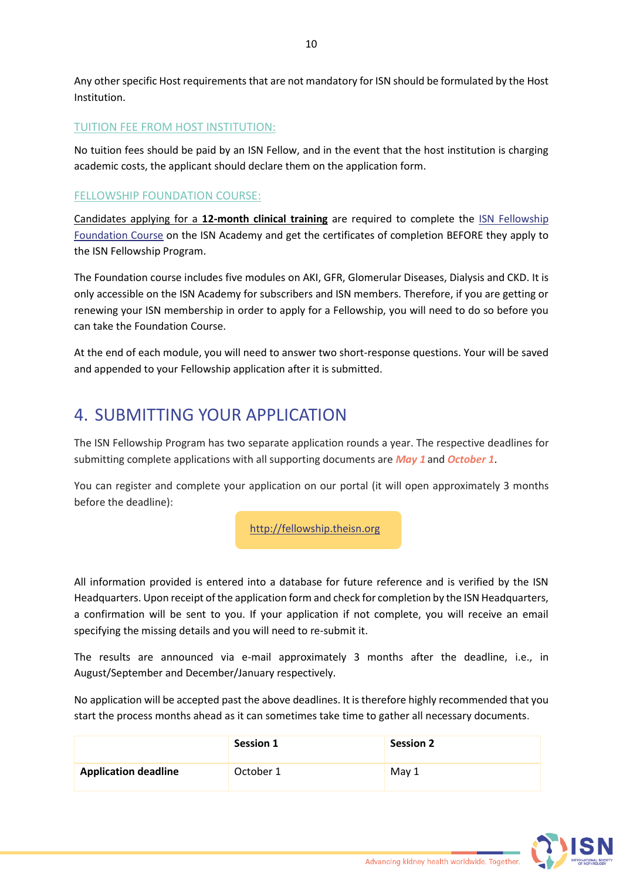Any other specific Host requirements that are not mandatory for ISN should be formulated by the Host Institution.

#### TUITION FEE FROM HOST INSTITUTION:

No tuition fees should be paid by an ISN Fellow, and in the event that the host institution is charging academic costs, the applicant should declare them on the application form.

#### FELLOWSHIP FOUNDATION COURSE:

Candidates applying for a **12-month clinical training** are required to complete the [ISN Fellowship](https://academy.theisn.org/isn/#!*listing=3*browseby=8*sortby=2*media=40*c_id=318410)  [Foundation Course](https://academy.theisn.org/isn/#!*listing=3*browseby=8*sortby=2*media=40*c_id=318410) on the ISN Academy and get the certificates of completion BEFORE they apply to the ISN Fellowship Program.

The Foundation course includes five modules on AKI, GFR, Glomerular Diseases, Dialysis and CKD. It is only accessible on the ISN Academy for subscribers and ISN members. Therefore, if you are getting or renewing your ISN membership in order to apply for a Fellowship, you will need to do so before you can take the Foundation Course.

At the end of each module, you will need to answer two short-response questions. Your will be saved and appended to your Fellowship application after it is submitted.

# <span id="page-9-0"></span>4. SUBMITTING YOUR APPLICATION

The ISN Fellowship Program has two separate application rounds a year. The respective deadlines for submitting complete applications with all supporting documents are *May 1* and *October 1*.

You can register and complete your application on our portal (it will open approximately 3 months before the deadline):

[http://fellowship.theisn.org](http://fellowship.theisn.org/)

All information provided is entered into a database for future reference and is verified by the ISN Headquarters. Upon receipt of the application form and check for completion by the ISN Headquarters, a confirmation will be sent to you. If your application if not complete, you will receive an email specifying the missing details and you will need to re-submit it.

The results are announced via e-mail approximately 3 months after the deadline, i.e., in August/September and December/January respectively.

No application will be accepted past the above deadlines. It is therefore highly recommended that you start the process months ahead as it can sometimes take time to gather all necessary documents.

|                             | <b>Session 1</b> | <b>Session 2</b> |
|-----------------------------|------------------|------------------|
| <b>Application deadline</b> | October 1        | May 1            |

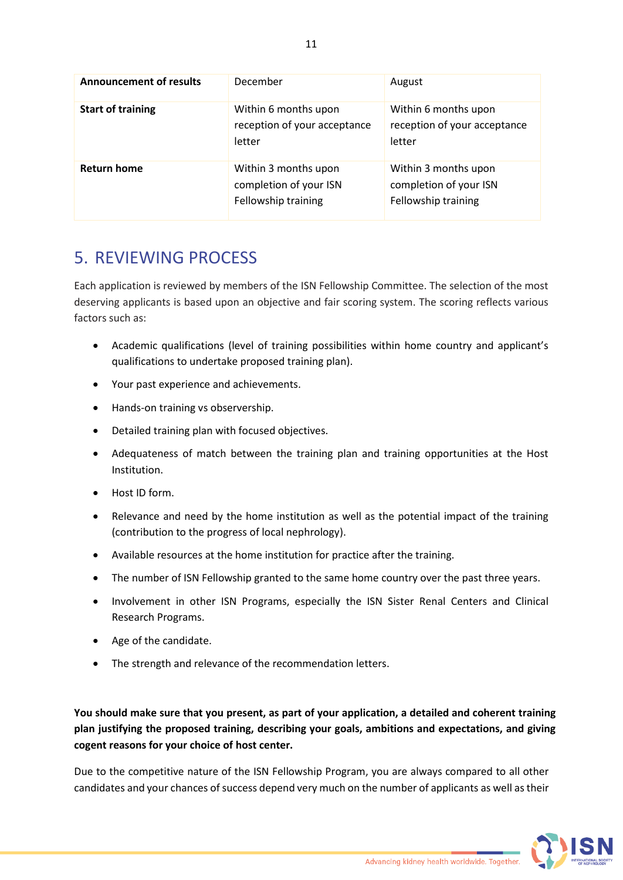| <b>Announcement of results</b> | December                                                              | August                                                                |
|--------------------------------|-----------------------------------------------------------------------|-----------------------------------------------------------------------|
| <b>Start of training</b>       | Within 6 months upon<br>reception of your acceptance<br>letter        | Within 6 months upon<br>reception of your acceptance<br>letter        |
| <b>Return home</b>             | Within 3 months upon<br>completion of your ISN<br>Fellowship training | Within 3 months upon<br>completion of your ISN<br>Fellowship training |

# <span id="page-10-0"></span>5. REVIEWING PROCESS

Each application is reviewed by members of the ISN Fellowship Committee. The selection of the most deserving applicants is based upon an objective and fair scoring system. The scoring reflects various factors such as:

- Academic qualifications (level of training possibilities within home country and applicant's qualifications to undertake proposed training plan).
- Your past experience and achievements.
- Hands-on training vs observership.
- Detailed training plan with focused objectives.
- Adequateness of match between the training plan and training opportunities at the Host Institution.
- Host ID form.
- Relevance and need by the home institution as well as the potential impact of the training (contribution to the progress of local nephrology).
- Available resources at the home institution for practice after the training.
- The number of ISN Fellowship granted to the same home country over the past three years.
- Involvement in other ISN Programs, especially the ISN Sister Renal Centers and Clinical Research Programs.
- Age of the candidate.
- The strength and relevance of the recommendation letters.

**You should make sure that you present, as part of your application, a detailed and coherent training plan justifying the proposed training, describing your goals, ambitions and expectations, and giving cogent reasons for your choice of host center.**

Due to the competitive nature of the ISN Fellowship Program, you are always compared to all other candidates and your chances of success depend very much on the number of applicants as well as their

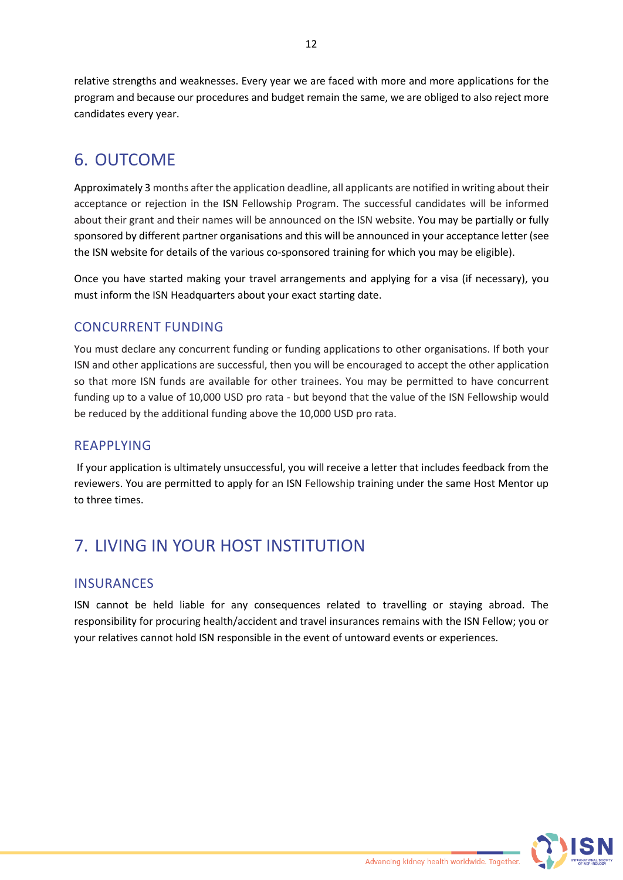relative strengths and weaknesses. Every year we are faced with more and more applications for the program and because our procedures and budget remain the same, we are obliged to also reject more candidates every year.

# <span id="page-11-0"></span>6. OUTCOME

Approximately 3 months after the application deadline, all applicants are notified in writing about their acceptance or rejection in the ISN Fellowship Program. The successful candidates will be informed about their grant and their names will be announced on the ISN website. You may be partially or fully sponsored by different partner organisations and this will be announced in your acceptance letter (see the ISN website for details of the various co-sponsored training for which you may be eligible).

Once you have started making your travel arrangements and applying for a visa (if necessary), you must inform the ISN Headquarters about your exact starting date.

### CONCURRENT FUNDING

You must declare any concurrent funding or funding applications to other organisations. If both your ISN and other applications are successful, then you will be encouraged to accept the other application so that more ISN funds are available for other trainees. You may be permitted to have concurrent funding up to a value of 10,000 USD pro rata - but beyond that the value of the ISN Fellowship would be reduced by the additional funding above the 10,000 USD pro rata.

### REAPPLYING

If your application is ultimately unsuccessful, you will receive a letter that includes feedback from the reviewers. You are permitted to apply for an ISN Fellowship training under the same Host Mentor up to three times.

# <span id="page-11-1"></span>7. LIVING IN YOUR HOST INSTITUTION

### **INSURANCES**

ISN cannot be held liable for any consequences related to travelling or staying abroad. The responsibility for procuring health/accident and travel insurances remains with the ISN Fellow; you or your relatives cannot hold ISN responsible in the event of untoward events or experiences.

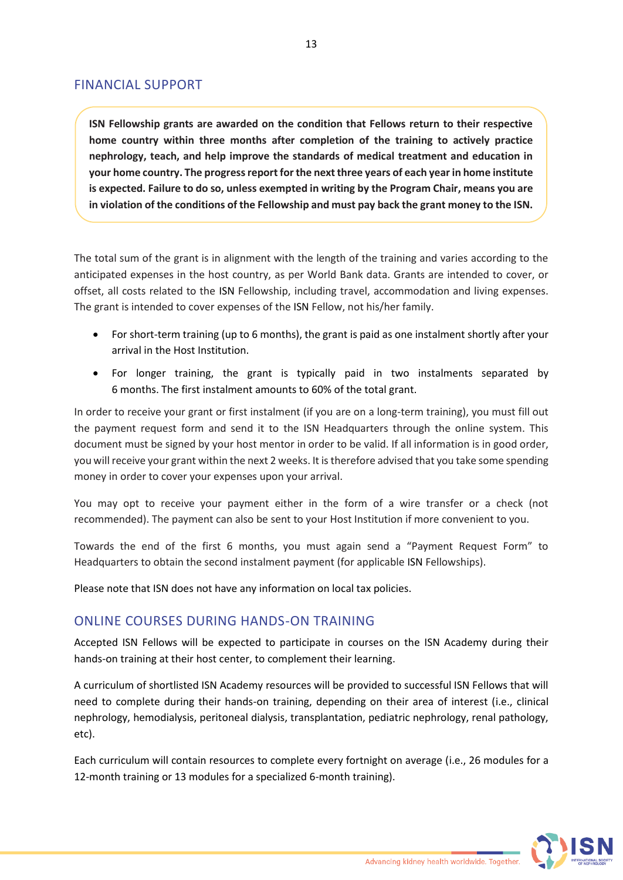### FINANCIAL SUPPORT

**ISN Fellowship grants are awarded on the condition that Fellows return to their respective home country within three months after completion of the training to actively practice nephrology, teach, and help improve the standards of medical treatment and education in your home country. The progress report for the next three years of each year in home institute is expected. Failure to do so, unless exempted in writing by the Program Chair, means you are in violation of the conditions of the Fellowship and must pay back the grant money to the ISN.**

The total sum of the grant is in alignment with the length of the training and varies according to the anticipated expenses in the host country, as per World Bank data. Grants are intended to cover, or offset, all costs related to the ISN Fellowship, including travel, accommodation and living expenses. The grant is intended to cover expenses of the ISN Fellow, not his/her family.

- For short-term training (up to 6 months), the grant is paid as one instalment shortly after your arrival in the Host Institution.
- For longer training, the grant is typically paid in two instalments separated by 6 months. The first instalment amounts to 60% of the total grant.

In order to receive your grant or first instalment (if you are on a long-term training), you must fill out the payment request form and send it to the ISN Headquarters through the online system. This document must be signed by your host mentor in order to be valid. If all information is in good order, you will receive your grant within the next 2 weeks. It is therefore advised that you take some spending money in order to cover your expenses upon your arrival.

You may opt to receive your payment either in the form of a wire transfer or a check (not recommended). The payment can also be sent to your Host Institution if more convenient to you.

Towards the end of the first 6 months, you must again send a "Payment Request Form" to Headquarters to obtain the second instalment payment (for applicable ISN Fellowships).

Please note that ISN does not have any information on local tax policies.

### ONLINE COURSES DURING HANDS-ON TRAINING

Accepted ISN Fellows will be expected to participate in courses on the ISN Academy during their hands-on training at their host center, to complement their learning.

A curriculum of shortlisted ISN Academy resources will be provided to successful ISN Fellows that will need to complete during their hands-on training, depending on their area of interest (i.e., clinical nephrology, hemodialysis, peritoneal dialysis, transplantation, pediatric nephrology, renal pathology, etc).

Each curriculum will contain resources to complete every fortnight on average (i.e., 26 modules for a 12-month training or 13 modules for a specialized 6-month training).

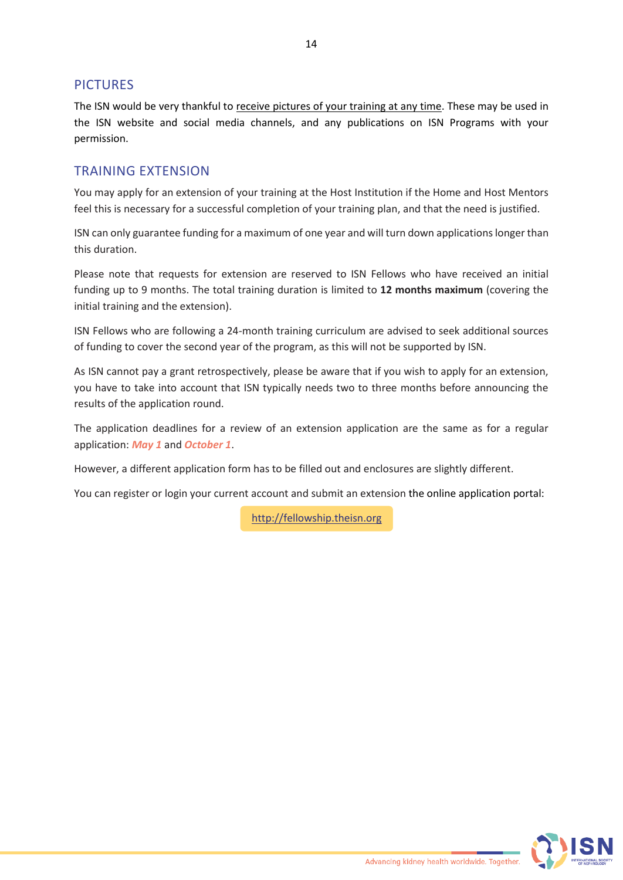#### PICTURES

The ISN would be very thankful to receive pictures of your training at any time. These may be used in the ISN website and social media channels, and any publications on ISN Programs with your permission.

#### TRAINING EXTENSION

You may apply for an extension of your training at the Host Institution if the Home and Host Mentors feel this is necessary for a successful completion of your training plan, and that the need is justified.

ISN can only guarantee funding for a maximum of one year and will turn down applications longer than this duration.

Please note that requests for extension are reserved to ISN Fellows who have received an initial funding up to 9 months. The total training duration is limited to **12 months maximum** (covering the initial training and the extension).

ISN Fellows who are following a 24-month training curriculum are advised to seek additional sources of funding to cover the second year of the program, as this will not be supported by ISN.

As ISN cannot pay a grant retrospectively, please be aware that if you wish to apply for an extension, you have to take into account that ISN typically needs two to three months before announcing the results of the application round.

The application deadlines for a review of an extension application are the same as for a regular application: *May 1* and *October 1*.

However, a different application form has to be filled out and enclosures are slightly different.

You can register or login your current account and submit an extension the online application portal:

[http://fellowship.theisn.org](http://fellowship.theisn.org/)

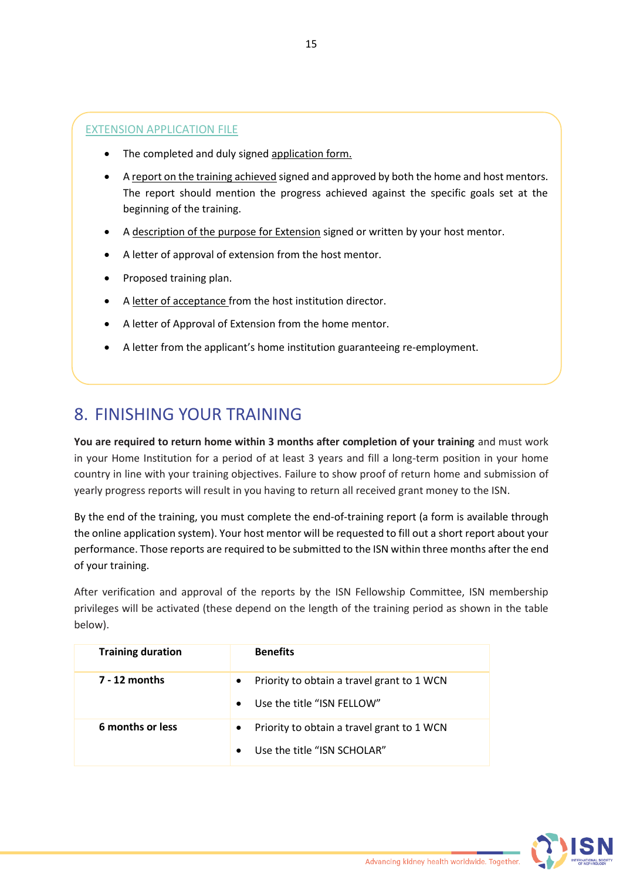#### EXTENSION APPLICATION FILE

- The completed and duly signed application form.
- A report on the training achieved signed and approved by both the home and host mentors. The report should mention the progress achieved against the specific goals set at the beginning of the training.
- A description of the purpose for Extension signed or written by your host mentor.
- A letter of approval of extension from the host mentor.
- Proposed training plan.
- A letter of acceptance from the host institution director.
- A letter of Approval of Extension from the home mentor.
- A letter from the applicant's home institution guaranteeing re-employment.

## <span id="page-14-0"></span>8. FINISHING YOUR TRAINING

**You are required to return home within 3 months after completion of your training** and must work in your Home Institution for a period of at least 3 years and fill a long-term position in your home country in line with your training objectives. Failure to show proof of return home and submission of yearly progress reports will result in you having to return all received grant money to the ISN.

By the end of the training, you must complete the end-of-training report (a form is available through the online application system). Your host mentor will be requested to fill out a short report about your performance. Those reports are required to be submitted to the ISN within three months after the end of your training.

After verification and approval of the reports by the ISN Fellowship Committee, ISN membership privileges will be activated (these depend on the length of the training period as shown in the table below).

| <b>Training duration</b> | <b>Benefits</b>                                                                                     |
|--------------------------|-----------------------------------------------------------------------------------------------------|
| <b>7 - 12 months</b>     | Priority to obtain a travel grant to 1 WCN<br>$\bullet$<br>Use the title "ISN FELLOW"<br>$\bullet$  |
| 6 months or less         | Priority to obtain a travel grant to 1 WCN<br>$\bullet$<br>Use the title "ISN SCHOLAR"<br>$\bullet$ |